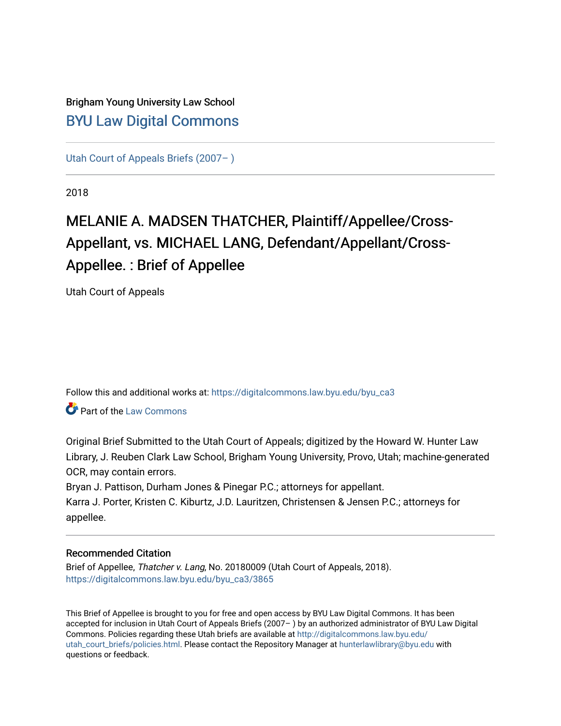# Brigham Young University Law School [BYU Law Digital Commons](https://digitalcommons.law.byu.edu/)

[Utah Court of Appeals Briefs \(2007– \)](https://digitalcommons.law.byu.edu/byu_ca3) 

2018

# MELANIE A. MADSEN THATCHER, Plaintiff/Appellee/Cross-Appellant, vs. MICHAEL LANG, Defendant/Appellant/Cross-Appellee. : Brief of Appellee

Utah Court of Appeals

Follow this and additional works at: [https://digitalcommons.law.byu.edu/byu\\_ca3](https://digitalcommons.law.byu.edu/byu_ca3?utm_source=digitalcommons.law.byu.edu%2Fbyu_ca3%2F3865&utm_medium=PDF&utm_campaign=PDFCoverPages) 

**Part of the [Law Commons](https://network.bepress.com/hgg/discipline/578?utm_source=digitalcommons.law.byu.edu%2Fbyu_ca3%2F3865&utm_medium=PDF&utm_campaign=PDFCoverPages)** 

Original Brief Submitted to the Utah Court of Appeals; digitized by the Howard W. Hunter Law Library, J. Reuben Clark Law School, Brigham Young University, Provo, Utah; machine-generated OCR, may contain errors.

Bryan J. Pattison, Durham Jones & Pinegar P.C.; attorneys for appellant.

Karra J. Porter, Kristen C. Kiburtz, J.D. Lauritzen, Christensen & Jensen P.C.; attorneys for appellee.

#### Recommended Citation

Brief of Appellee, Thatcher v. Lang, No. 20180009 (Utah Court of Appeals, 2018). [https://digitalcommons.law.byu.edu/byu\\_ca3/3865](https://digitalcommons.law.byu.edu/byu_ca3/3865?utm_source=digitalcommons.law.byu.edu%2Fbyu_ca3%2F3865&utm_medium=PDF&utm_campaign=PDFCoverPages) 

This Brief of Appellee is brought to you for free and open access by BYU Law Digital Commons. It has been accepted for inclusion in Utah Court of Appeals Briefs (2007– ) by an authorized administrator of BYU Law Digital Commons. Policies regarding these Utah briefs are available at [http://digitalcommons.law.byu.edu/](http://digitalcommons.law.byu.edu/utah_court_briefs/policies.html) [utah\\_court\\_briefs/policies.html.](http://digitalcommons.law.byu.edu/utah_court_briefs/policies.html) Please contact the Repository Manager at hunterlawlibrary@byu.edu with questions or feedback.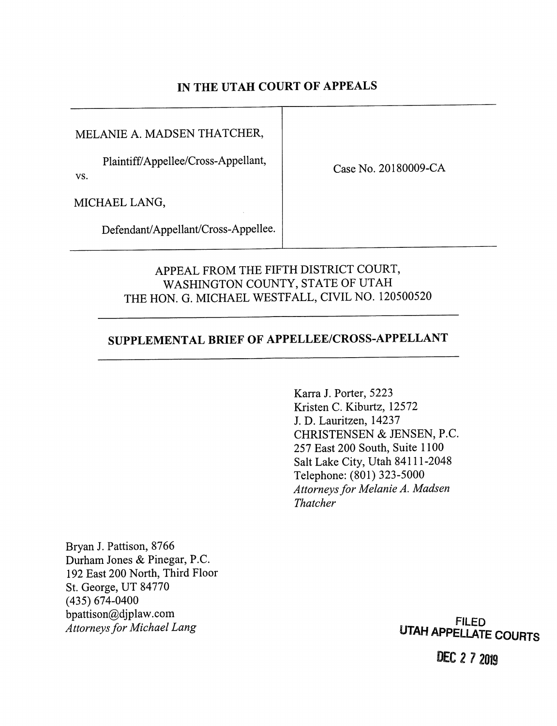### IN THE UTAH COURT OF APPEALS

MELANIE A. MADSEN THATCHER,

Plaintiff/Appellee/Cross-Appellant,

vs.

Case No. 20180009-CA

MICHAEL LANG,

Defendant/Appellant/Cross-Appellee.

### APPEAL FROM THE FIFTH DISTRICT COURT, WASHINGTON COUNTY, STATE OF UTAH THE HON. G. MICHAEL WESTFALL, CIVIL NO. 120500520

# SUPPLEMENTAL BRIEF OF APPELLEE/CROSS-APPELLANT

Karra J. Porter, 5223 Kristen C. Kiburtz, 12572 J. D. Lauritzen, 14237 CHRISTENSEN & JENSEN, P.C. 257 East 200 South, Suite 1100 Salt Lake City, Utah 84111-2048 Telephone: (801) 323-5000 Attorneys for Melanie A. Madsen Thatcher

Bryan J. Pattison, 8766 Durham Jones & Pinegar, P.C. 192 East 200 North, Third Floor St. George, UT 84770 (435) 674-0400 bpattison@djplaw.com Attorneys for Michael Lang

**FILED** UTAH APPEliATE COURTS

DEC 2 7 2019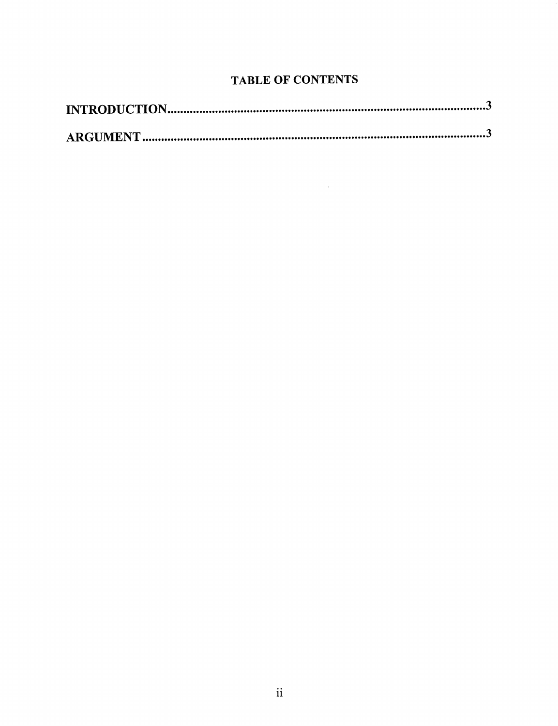## TABLE OF CONTENTS

 $\sim 10^{10}$  km s  $^{-1}$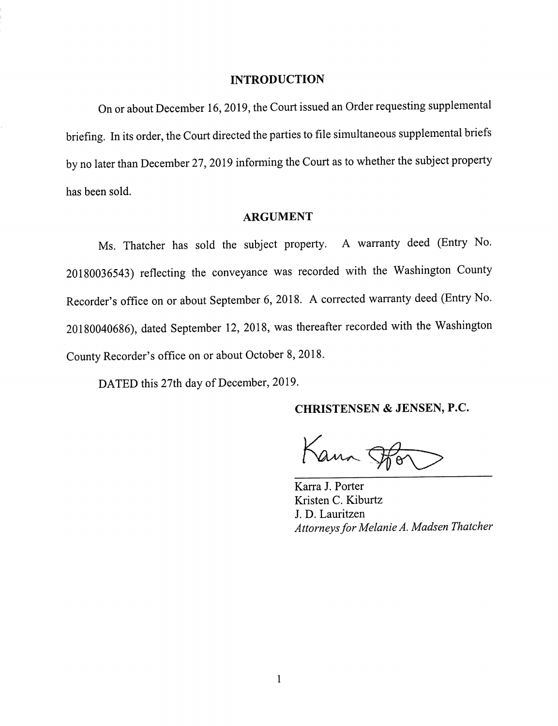#### INTRODUCTION

On or about December 16, 2019, the Court issued an Order requesting supplemental briefing. In its order, the Court directed the parties to file simultaneous supplemental briefs by no later than December 27, 2019 informing the Court as to whether the subject property has been sold.

### ARGUMENT

Ms. Thatcher has sold the subject property. A warranty deed (Entry No. 20180036543) reflecting the conveyance was recorded with the Washington County Recorder's office on or about September 6, 2018. A corrected warranty deed (Entry No. 20180040686), dated September 12, 2018, was thereafter recorded with the Washington County Recorder's office on or about October 8, 2018.

DATED this 27th day of December, 2019.

CHRISTENSEN & JENSEN, P.C.

Kann Spor

Karra J. Porter Kristen C. Kiburtz J. D. Lauritzen Attorneys for Melanie A. Madsen Thatcher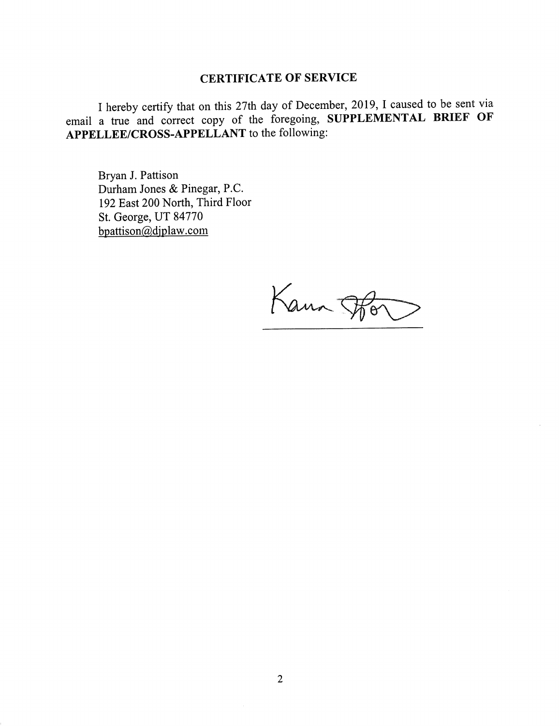#### CERTIFICATE OF SERVICE

I hereby certify that on this 27th day of December, 2019, I caused to be sent via email a true and correct copy of the foregoing, SUPPLEMENTAL BRIEF OF APPELLEE/CROSS-APPELLANT to the following:

Bryan J. Pattison Durham Jones & Pinegar, P.C. 192 East 200 North, Third Floor St. George, UT 84770 bpattison@diplaw.com

Kann Fo